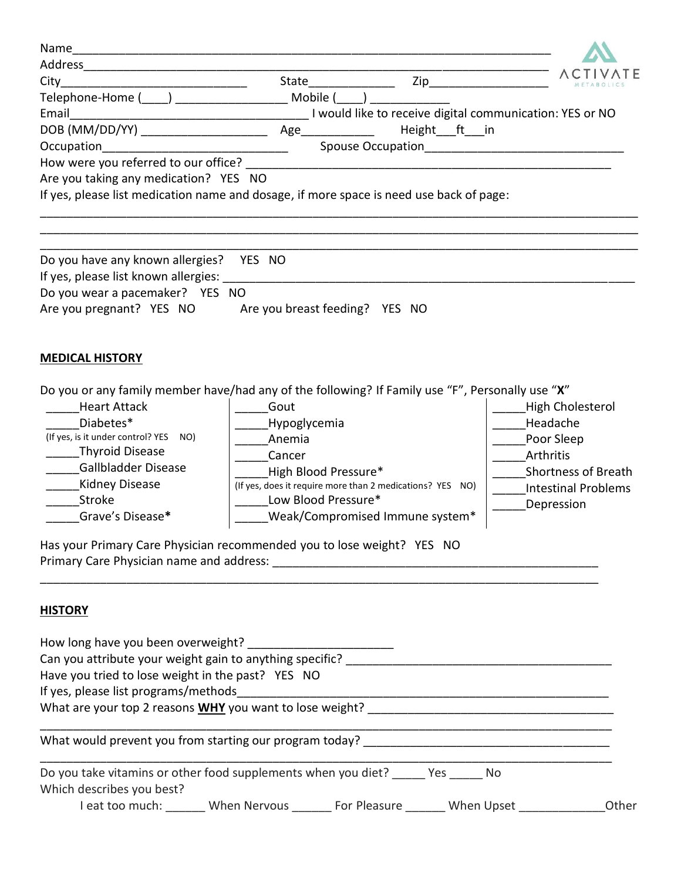| City<br>Telephone-Home (____) _______________________ Mobile (____)<br>Land like to receive digital communication: YES or NO [11] 1 would like to receive digital communication: YES or NO<br>Email<br>Height_ft_in<br>Occupation<br>Are you taking any medication? YES NO<br>If yes, please list medication name and dosage, if more space is need use back of page: |                            |
|-----------------------------------------------------------------------------------------------------------------------------------------------------------------------------------------------------------------------------------------------------------------------------------------------------------------------------------------------------------------------|----------------------------|
|                                                                                                                                                                                                                                                                                                                                                                       |                            |
|                                                                                                                                                                                                                                                                                                                                                                       |                            |
|                                                                                                                                                                                                                                                                                                                                                                       |                            |
|                                                                                                                                                                                                                                                                                                                                                                       |                            |
|                                                                                                                                                                                                                                                                                                                                                                       |                            |
|                                                                                                                                                                                                                                                                                                                                                                       |                            |
|                                                                                                                                                                                                                                                                                                                                                                       |                            |
|                                                                                                                                                                                                                                                                                                                                                                       |                            |
|                                                                                                                                                                                                                                                                                                                                                                       |                            |
| Do you have any known allergies? YES NO<br>If yes, please list known allergies: Notified that the state of the state of the state of the state of the state of the state of the state of the state of the state of the state of the state of the state of the state of th                                                                                             |                            |
| Do you wear a pacemaker? YES NO                                                                                                                                                                                                                                                                                                                                       |                            |
| Are you pregnant? YES NO Are you breast feeding? YES NO                                                                                                                                                                                                                                                                                                               |                            |
|                                                                                                                                                                                                                                                                                                                                                                       |                            |
|                                                                                                                                                                                                                                                                                                                                                                       |                            |
| <b>MEDICAL HISTORY</b>                                                                                                                                                                                                                                                                                                                                                |                            |
|                                                                                                                                                                                                                                                                                                                                                                       |                            |
| Do you or any family member have/had any of the following? If Family use "F", Personally use "X"                                                                                                                                                                                                                                                                      |                            |
|                                                                                                                                                                                                                                                                                                                                                                       |                            |
| <b>Heart Attack</b><br>Gout                                                                                                                                                                                                                                                                                                                                           | High Cholesterol           |
| Diabetes*<br>Hypoglycemia                                                                                                                                                                                                                                                                                                                                             | Headache                   |
| (If yes, is it under control? YES NO)<br>Anemia                                                                                                                                                                                                                                                                                                                       | Poor Sleep                 |
| <b>Thyroid Disease</b><br>Cancer                                                                                                                                                                                                                                                                                                                                      | Arthritis                  |
| Gallbladder Disease<br>High Blood Pressure*                                                                                                                                                                                                                                                                                                                           | <b>Shortness of Breath</b> |
| Kidney Disease<br>(If yes, does it require more than 2 medications? YES NO)                                                                                                                                                                                                                                                                                           | <b>Intestinal Problems</b> |
| Low Blood Pressure*<br>Stroke                                                                                                                                                                                                                                                                                                                                         | Depression                 |
| Grave's Disease*<br>Weak/Compromised Immune system*                                                                                                                                                                                                                                                                                                                   |                            |
|                                                                                                                                                                                                                                                                                                                                                                       |                            |
| Has your Primary Care Physician recommended you to lose weight? YES NO                                                                                                                                                                                                                                                                                                |                            |
|                                                                                                                                                                                                                                                                                                                                                                       |                            |
|                                                                                                                                                                                                                                                                                                                                                                       |                            |
|                                                                                                                                                                                                                                                                                                                                                                       |                            |
| <b>HISTORY</b>                                                                                                                                                                                                                                                                                                                                                        |                            |
|                                                                                                                                                                                                                                                                                                                                                                       |                            |
|                                                                                                                                                                                                                                                                                                                                                                       |                            |
|                                                                                                                                                                                                                                                                                                                                                                       |                            |
| Have you tried to lose weight in the past? YES NO                                                                                                                                                                                                                                                                                                                     |                            |
| If yes, please list programs/methods<br>What are your top 2 reasons <b>WHY</b> you want to lose weight?                                                                                                                                                                                                                                                               |                            |
|                                                                                                                                                                                                                                                                                                                                                                       |                            |
|                                                                                                                                                                                                                                                                                                                                                                       |                            |
|                                                                                                                                                                                                                                                                                                                                                                       |                            |
| Do you take vitamins or other food supplements when you diet? _____ Yes _____ No                                                                                                                                                                                                                                                                                      |                            |
| Which describes you best?                                                                                                                                                                                                                                                                                                                                             |                            |
| I eat too much: _______ When Nervous _______ For Pleasure _______ When Upset _____________                                                                                                                                                                                                                                                                            | Other                      |